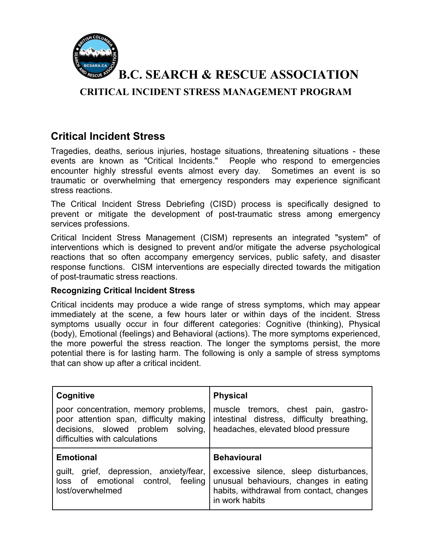

**B.C. SEARCH & RESCUE ASSOCIATION**

**CRITICAL INCIDENT STRESS MANAGEMENT PROGRAM**

## **Critical Incident Stress**

Tragedies, deaths, serious injuries, hostage situations, threatening situations - these events are known as "Critical Incidents." People who respond to emergencies encounter highly stressful events almost every day. Sometimes an event is so traumatic or overwhelming that emergency responders may experience significant stress reactions.

The Critical Incident Stress Debriefing (CISD) process is specifically designed to prevent or mitigate the development of post-traumatic stress among emergency services professions.

Critical Incident Stress Management (CISM) represents an integrated "system" of interventions which is designed to prevent and/or mitigate the adverse psychological reactions that so often accompany emergency services, public safety, and disaster response functions. CISM interventions are especially directed towards the mitigation of post-traumatic stress reactions.

### **Recognizing Critical Incident Stress**

Critical incidents may produce a wide range of stress symptoms, which may appear immediately at the scene, a few hours later or within days of the incident. Stress symptoms usually occur in four different categories: Cognitive (thinking), Physical (body), Emotional (feelings) and Behavioral (actions). The more symptoms experienced, the more powerful the stress reaction. The longer the symptoms persist, the more potential there is for lasting harm. The following is only a sample of stress symptoms that can show up after a critical incident.

| Cognitive                                                                                                                                              | <b>Physical</b>                                                                                                         |
|--------------------------------------------------------------------------------------------------------------------------------------------------------|-------------------------------------------------------------------------------------------------------------------------|
| poor concentration, memory problems,<br>poor attention span, difficulty making<br>decisions, slowed problem solving,<br>difficulties with calculations | muscle tremors, chest pain, gastro-<br>intestinal distress, difficulty breathing,<br>headaches, elevated blood pressure |
| <b>Emotional</b>                                                                                                                                       | <b>Behavioural</b>                                                                                                      |
| grief, depression, anxiety/fear,<br>guilt,<br>of emotional control, feeling<br>loss                                                                    | excessive silence, sleep disturbances,<br>unusual behaviours, changes in eating                                         |